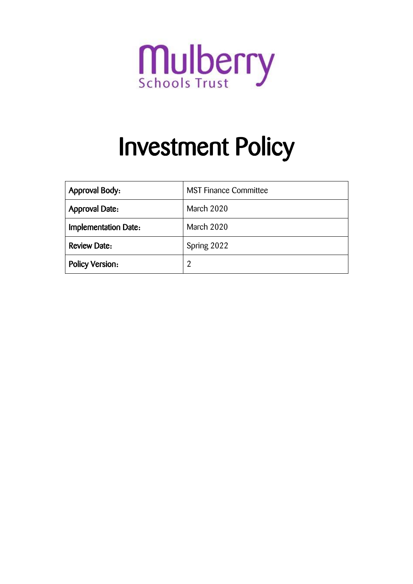

# Investment Policy

| <b>Approval Body:</b>  | <b>MST Finance Committee</b> |  |
|------------------------|------------------------------|--|
| <b>Approval Date:</b>  | March 2020                   |  |
| Implementation Date:   | March 2020                   |  |
| <b>Review Date:</b>    | Spring 2022                  |  |
| <b>Policy Version:</b> | 2                            |  |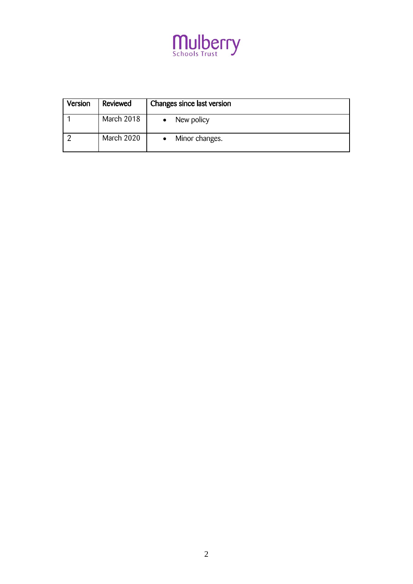

| Version | Reviewed   | Changes since last version |
|---------|------------|----------------------------|
|         | March 2018 | New policy                 |
|         | March 2020 | Minor changes.             |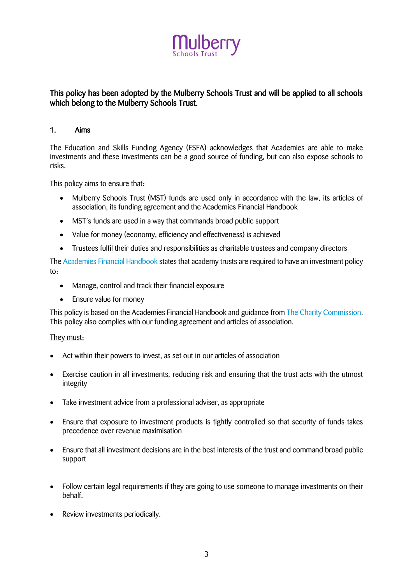

# This policy has been adopted by the Mulberry Schools Trust and will be applied to all schools which belong to the Mulberry Schools Trust.

# 1. Aims

The Education and Skills Funding Agency (ESFA) acknowledges that Academies are able to make investments and these investments can be a good source of funding, but can also expose schools to risks.

This policy aims to ensure that:

- Mulberry Schools Trust (MST) funds are used only in accordance with the law, its articles of association, its funding agreement and the Academies Financial Handbook
- MST's funds are used in a way that commands broad public support
- Value for money (economy, efficiency and effectiveness) is achieved
- Trustees fulfil their duties and responsibilities as charitable trustees and company directors

The [Academies Financial Handbook](https://www.gov.uk/government/publications/academies-financial-handbook) states that academy trusts are required to have an investment policy  $t \circ$ 

- Manage, control and track their financial exposure
- Ensure value for money

This policy is based on the Academies Financial Handbook and guidance from [The Charity Commission.](https://www.gov.uk/government/publications/charities-and-investment-matters-a-guide-for-trustees-cc14) This policy also complies with our funding agreement and articles of association.

# They must:

- Act within their powers to invest, as set out in our articles of association
- Exercise caution in all investments, reducing risk and ensuring that the trust acts with the utmost integrity
- Take investment advice from a professional adviser, as appropriate
- Ensure that exposure to investment products is tightly controlled so that security of funds takes precedence over revenue maximisation
- Ensure that all investment decisions are in the best interests of the trust and command broad public support
- Follow certain legal requirements if they are going to use someone to manage investments on their behalf.
- Review investments periodically.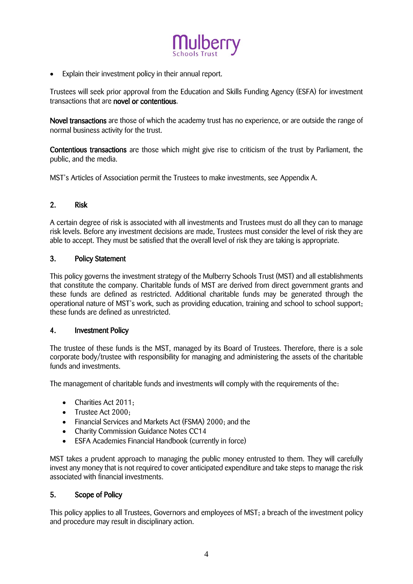

Explain their investment policy in their annual report.

Trustees will seek prior approval from the Education and Skills Funding Agency (ESFA) for investment transactions that are novel or contentious.

Novel transactions are those of which the academy trust has no experience, or are outside the range of normal business activity for the trust.

Contentious transactions are those which might give rise to criticism of the trust by Parliament, the public, and the media.

MST's Articles of Association permit the Trustees to make investments, see Appendix A.

# 2. Risk

A certain degree of risk is associated with all investments and Trustees must do all they can to manage risk levels. Before any investment decisions are made, Trustees must consider the level of risk they are able to accept. They must be satisfied that the overall level of risk they are taking is appropriate.

#### 3. Policy Statement

This policy governs the investment strategy of the Mulberry Schools Trust (MST) and all establishments that constitute the company. Charitable funds of MST are derived from direct government grants and these funds are defined as restricted. Additional charitable funds may be generated through the operational nature of MST's work, such as providing education, training and school to school support; these funds are defined as unrestricted.

#### 4. Investment Policy

The trustee of these funds is the MST, managed by its Board of Trustees. Therefore, there is a sole corporate body/trustee with responsibility for managing and administering the assets of the charitable funds and investments.

The management of charitable funds and investments will comply with the requirements of the:

- Charities Act 2011;
- Trustee Act 2000;
- Financial Services and Markets Act (FSMA) 2000; and the
- Charity Commission Guidance Notes CC14
- ESFA Academies Financial Handbook (currently in force)

MST takes a prudent approach to managing the public money entrusted to them. They will carefully invest any money that is not required to cover anticipated expenditure and take steps to manage the risk associated with financial investments.

# 5. Scope of Policy

This policy applies to all Trustees, Governors and employees of MST; a breach of the investment policy and procedure may result in disciplinary action.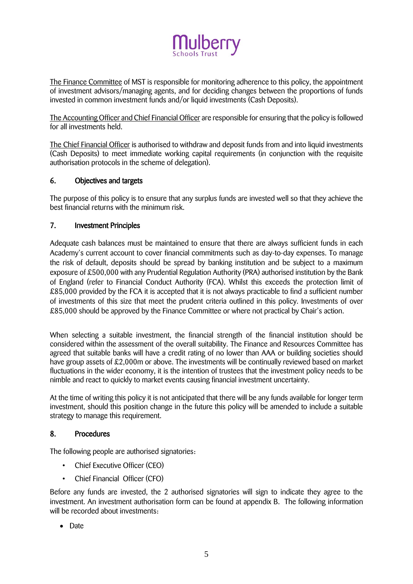

The Finance Committee of MST is responsible for monitoring adherence to this policy, the appointment of investment advisors/managing agents, and for deciding changes between the proportions of funds invested in common investment funds and/or liquid investments (Cash Deposits).

The Accounting Officer and Chief Financial Officer are responsible for ensuring that the policy is followed for all investments held.

The Chief Financial Officer is authorised to withdraw and deposit funds from and into liquid investments (Cash Deposits) to meet immediate working capital requirements (in conjunction with the requisite authorisation protocols in the scheme of delegation).

# 6. Objectives and targets

The purpose of this policy is to ensure that any surplus funds are invested well so that they achieve the best financial returns with the minimum risk.

# 7. Investment Principles

Adequate cash balances must be maintained to ensure that there are always sufficient funds in each Academy's current account to cover financial commitments such as day-to-day expenses. To manage the risk of default, deposits should be spread by banking institution and be subject to a maximum exposure of £500,000 with any Prudential Regulation Authority (PRA) authorised institution by the Bank of England (refer to Financial Conduct Authority (FCA). Whilst this exceeds the protection limit of £85,000 provided by the FCA it is accepted that it is not always practicable to find a sufficient number of investments of this size that meet the prudent criteria outlined in this policy. Investments of over £85,000 should be approved by the Finance Committee or where not practical by Chair's action.

When selecting a suitable investment, the financial strength of the financial institution should be considered within the assessment of the overall suitability. The Finance and Resources Committee has agreed that suitable banks will have a credit rating of no lower than AAA or building societies should have group assets of £2,000m or above. The investments will be continually reviewed based on market fluctuations in the wider economy, it is the intention of trustees that the investment policy needs to be nimble and react to quickly to market events causing financial investment uncertainty.

At the time of writing this policy it is not anticipated that there will be any funds available for longer term investment, should this position change in the future this policy will be amended to include a suitable strategy to manage this requirement.

# 8. Procedures

The following people are authorised signatories:

- Chief Executive Officer (CEO)
- Chief Financial Officer (CFO)

Before any funds are invested, the 2 authorised signatories will sign to indicate they agree to the investment. An investment authorisation form can be found at appendix B. The following information will be recorded about investments:

• Date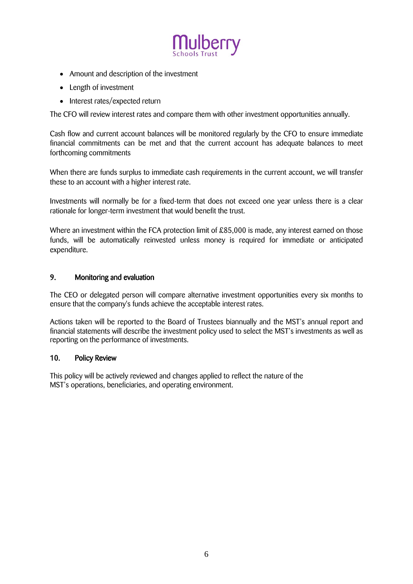

- Amount and description of the investment
- Length of investment
- Interest rates/expected return

The CFO will review interest rates and compare them with other investment opportunities annually.

Cash flow and current account balances will be monitored regularly by the CFO to ensure immediate financial commitments can be met and that the current account has adequate balances to meet forthcoming commitments

When there are funds surplus to immediate cash requirements in the current account, we will transfer these to an account with a higher interest rate.

Investments will normally be for a fixed-term that does not exceed one year unless there is a clear rationale for longer-term investment that would benefit the trust.

Where an investment within the FCA protection limit of £85,000 is made, any interest earned on those funds, will be automatically reinvested unless money is required for immediate or anticipated expenditure.

# 9. Monitoring and evaluation

The CEO or delegated person will compare alternative investment opportunities every six months to ensure that the company's funds achieve the acceptable interest rates.

Actions taken will be reported to the Board of Trustees biannually and the MST's annual report and financial statements will describe the investment policy used to select the MST's investments as well as reporting on the performance of investments.

#### 10. Policy Review

This policy will be actively reviewed and changes applied to reflect the nature of the MST's operations, beneficiaries, and operating environment.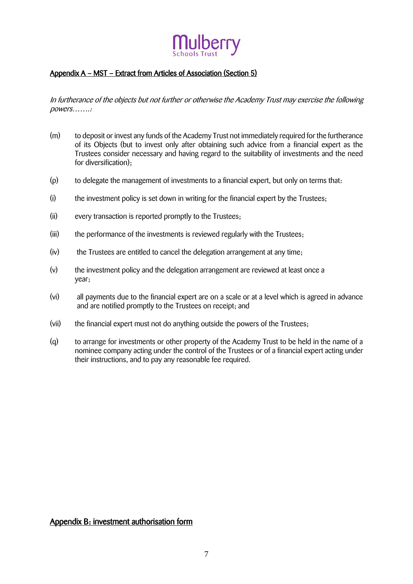# Appendix A – MST – Extract from Articles of Association (Section 5)

In furtherance of the objects but not further or otherwise the Academy Trust may exercise the following powers…….:

- (m) to deposit or invest any funds of the Academy Trust not immediately required for the furtherance of its Objects (but to invest only after obtaining such advice from a financial expert as the Trustees consider necessary and having regard to the suitability of investments and the need for diversification);
- (p) to delegate the management of investments to a financial expert, but only on terms that:
- (i) the investment policy is set down in writing for the financial expert by the Trustees;
- (ii) every transaction is reported promptly to the Trustees;
- (iii) the performance of the investments is reviewed regularly with the Trustees;
- (iv) the Trustees are entitled to cancel the delegation arrangement at any time;
- (v) the investment policy and the delegation arrangement are reviewed at least once a year;
- (vi) all payments due to the financial expert are on a scale or at a level which is agreed in advance and are notified promptly to the Trustees on receipt; and
- (vii) the financial expert must not do anything outside the powers of the Trustees;
- (q) to arrange for investments or other property of the Academy Trust to be held in the name of a nominee company acting under the control of the Trustees or of a financial expert acting under their instructions, and to pay any reasonable fee required.

Appendix B: investment authorisation form